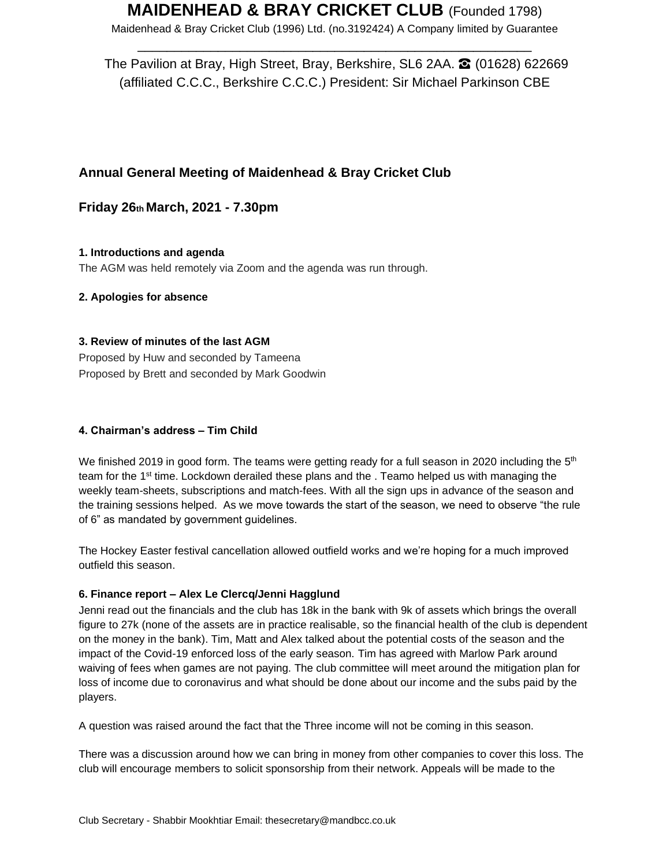Maidenhead & Bray Cricket Club (1996) Ltd. (no.3192424) A Company limited by Guarantee \_\_\_\_\_\_\_\_\_\_\_\_\_\_\_\_\_\_\_\_\_\_\_\_\_\_\_\_\_\_\_\_\_\_\_\_\_\_\_\_\_\_\_\_\_\_\_\_\_\_\_\_\_\_

The Pavilion at Bray, High Street, Bray, Berkshire, SL6 2AA. **☎** (01628) 622669 (affiliated C.C.C., Berkshire C.C.C.) President: Sir Michael Parkinson CBE

## **Annual General Meeting of Maidenhead & Bray Cricket Club**

**Friday 26th March, 2021 - 7.30pm** 

**1. Introductions and agenda**  The AGM was held remotely via Zoom and the agenda was run through.

**2. Apologies for absence** 

## **3. Review of minutes of the last AGM**

Proposed by Huw and seconded by Tameena Proposed by Brett and seconded by Mark Goodwin

## **4. Chairman's address – Tim Child**

We finished 2019 in good form. The teams were getting ready for a full season in 2020 including the  $5<sup>th</sup>$ team for the 1<sup>st</sup> time. Lockdown derailed these plans and the . Teamo helped us with managing the weekly team-sheets, subscriptions and match-fees. With all the sign ups in advance of the season and the training sessions helped. As we move towards the start of the season, we need to observe "the rule of 6" as mandated by government guidelines.

The Hockey Easter festival cancellation allowed outfield works and we're hoping for a much improved outfield this season.

## **6. Finance report – Alex Le Clercq/Jenni Hagglund**

Jenni read out the financials and the club has 18k in the bank with 9k of assets which brings the overall figure to 27k (none of the assets are in practice realisable, so the financial health of the club is dependent on the money in the bank). Tim, Matt and Alex talked about the potential costs of the season and the impact of the Covid-19 enforced loss of the early season. Tim has agreed with Marlow Park around waiving of fees when games are not paying. The club committee will meet around the mitigation plan for loss of income due to coronavirus and what should be done about our income and the subs paid by the players.

A question was raised around the fact that the Three income will not be coming in this season.

There was a discussion around how we can bring in money from other companies to cover this loss. The club will encourage members to solicit sponsorship from their network. Appeals will be made to the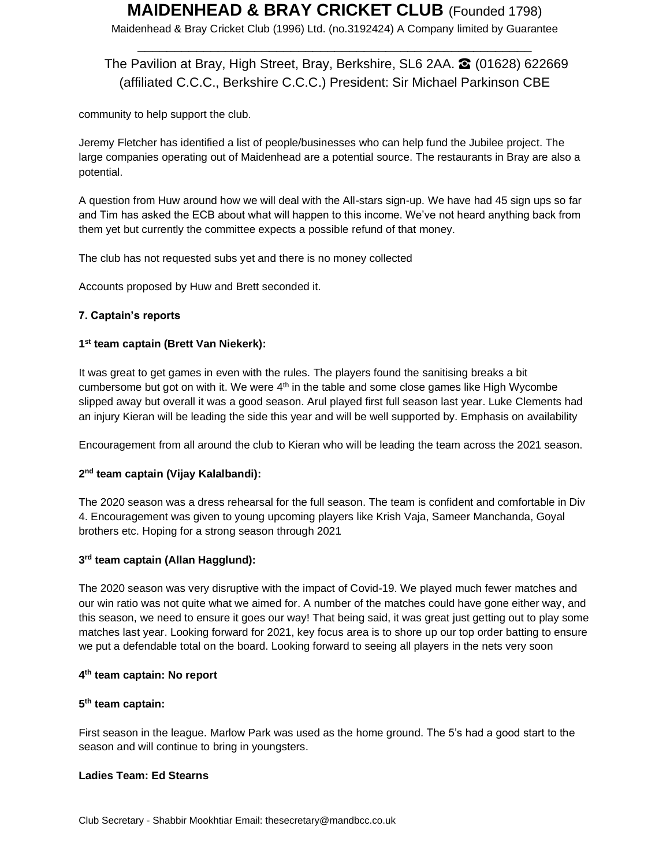Maidenhead & Bray Cricket Club (1996) Ltd. (no.3192424) A Company limited by Guarantee \_\_\_\_\_\_\_\_\_\_\_\_\_\_\_\_\_\_\_\_\_\_\_\_\_\_\_\_\_\_\_\_\_\_\_\_\_\_\_\_\_\_\_\_\_\_\_\_\_\_\_\_\_\_

## The Pavilion at Bray, High Street, Bray, Berkshire, SL6 2AA. **☎** (01628) 622669 (affiliated C.C.C., Berkshire C.C.C.) President: Sir Michael Parkinson CBE

community to help support the club.

Jeremy Fletcher has identified a list of people/businesses who can help fund the Jubilee project. The large companies operating out of Maidenhead are a potential source. The restaurants in Bray are also a potential.

A question from Huw around how we will deal with the All-stars sign-up. We have had 45 sign ups so far and Tim has asked the ECB about what will happen to this income. We've not heard anything back from them yet but currently the committee expects a possible refund of that money.

The club has not requested subs yet and there is no money collected

Accounts proposed by Huw and Brett seconded it.

#### **7. Captain's reports**

#### **1 st team captain (Brett Van Niekerk):**

It was great to get games in even with the rules. The players found the sanitising breaks a bit cumbersome but got on with it. We were 4<sup>th</sup> in the table and some close games like High Wycombe slipped away but overall it was a good season. Arul played first full season last year. Luke Clements had an injury Kieran will be leading the side this year and will be well supported by. Emphasis on availability

Encouragement from all around the club to Kieran who will be leading the team across the 2021 season.

### **2 nd team captain (Vijay Kalalbandi):**

The 2020 season was a dress rehearsal for the full season. The team is confident and comfortable in Div 4. Encouragement was given to young upcoming players like Krish Vaja, Sameer Manchanda, Goyal brothers etc. Hoping for a strong season through 2021

#### **3 rd team captain (Allan Hagglund):**

The 2020 season was very disruptive with the impact of Covid-19. We played much fewer matches and our win ratio was not quite what we aimed for. A number of the matches could have gone either way, and this season, we need to ensure it goes our way! That being said, it was great just getting out to play some matches last year. Looking forward for 2021, key focus area is to shore up our top order batting to ensure we put a defendable total on the board. Looking forward to seeing all players in the nets very soon

#### **4 th team captain: No report**

#### **5 th team captain:**

First season in the league. Marlow Park was used as the home ground. The 5's had a good start to the season and will continue to bring in youngsters.

#### **Ladies Team: Ed Stearns**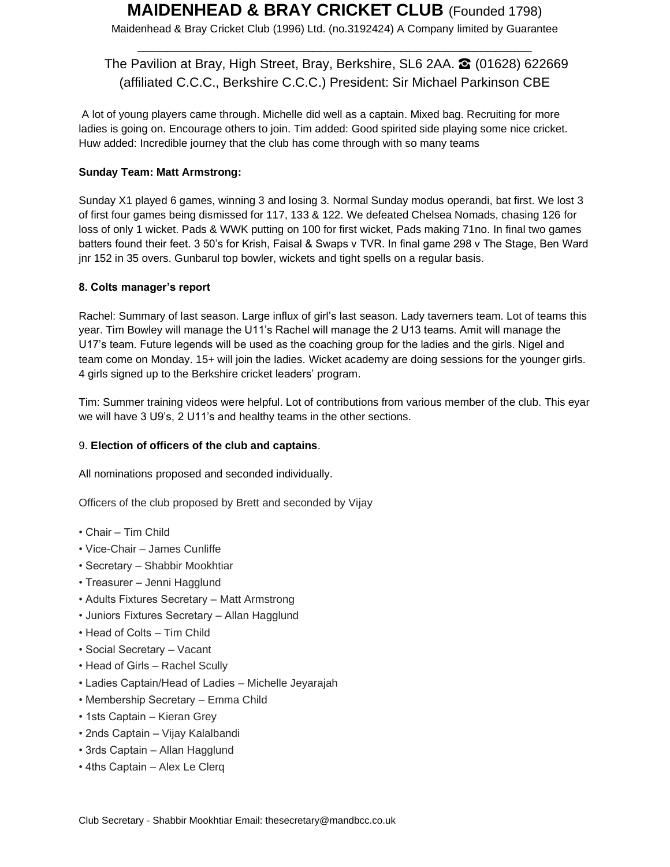Maidenhead & Bray Cricket Club (1996) Ltd. (no.3192424) A Company limited by Guarantee \_\_\_\_\_\_\_\_\_\_\_\_\_\_\_\_\_\_\_\_\_\_\_\_\_\_\_\_\_\_\_\_\_\_\_\_\_\_\_\_\_\_\_\_\_\_\_\_\_\_\_\_\_\_

## The Pavilion at Bray, High Street, Bray, Berkshire, SL6 2AA. <sup>2</sup> (01628) 622669 (affiliated C.C.C., Berkshire C.C.C.) President: Sir Michael Parkinson CBE

A lot of young players came through. Michelle did well as a captain. Mixed bag. Recruiting for more ladies is going on. Encourage others to join. Tim added: Good spirited side playing some nice cricket. Huw added: Incredible journey that the club has come through with so many teams

## **Sunday Team: Matt Armstrong:**

Sunday X1 played 6 games, winning 3 and losing 3. Normal Sunday modus operandi, bat first. We lost 3 of first four games being dismissed for 117, 133 & 122. We defeated Chelsea Nomads, chasing 126 for loss of only 1 wicket. Pads & WWK putting on 100 for first wicket, Pads making 71no. In final two games batters found their feet. 3 50's for Krish, Faisal & Swaps v TVR. In final game 298 v The Stage, Ben Ward jnr 152 in 35 overs. Gunbarul top bowler, wickets and tight spells on a regular basis.

### **8. Colts manager's report**

Rachel: Summary of last season. Large influx of girl's last season. Lady taverners team. Lot of teams this year. Tim Bowley will manage the U11's Rachel will manage the 2 U13 teams. Amit will manage the U17's team. Future legends will be used as the coaching group for the ladies and the girls. Nigel and team come on Monday. 15+ will join the ladies. Wicket academy are doing sessions for the younger girls. 4 girls signed up to the Berkshire cricket leaders' program.

Tim: Summer training videos were helpful. Lot of contributions from various member of the club. This eyar we will have 3 U9's, 2 U11's and healthy teams in the other sections.

### 9. **Election of officers of the club and captains**.

All nominations proposed and seconded individually.

Officers of the club proposed by Brett and seconded by Vijay

- Chair Tim Child
- Vice-Chair James Cunliffe
- Secretary Shabbir Mookhtiar
- Treasurer Jenni Hagglund
- Adults Fixtures Secretary Matt Armstrong
- Juniors Fixtures Secretary Allan Hagglund
- Head of Colts Tim Child
- Social Secretary Vacant
- Head of Girls Rachel Scully
- Ladies Captain/Head of Ladies Michelle Jeyarajah
- Membership Secretary Emma Child
- 1sts Captain Kieran Grey
- 2nds Captain Vijay Kalalbandi
- 3rds Captain Allan Hagglund
- 4ths Captain Alex Le Clerq